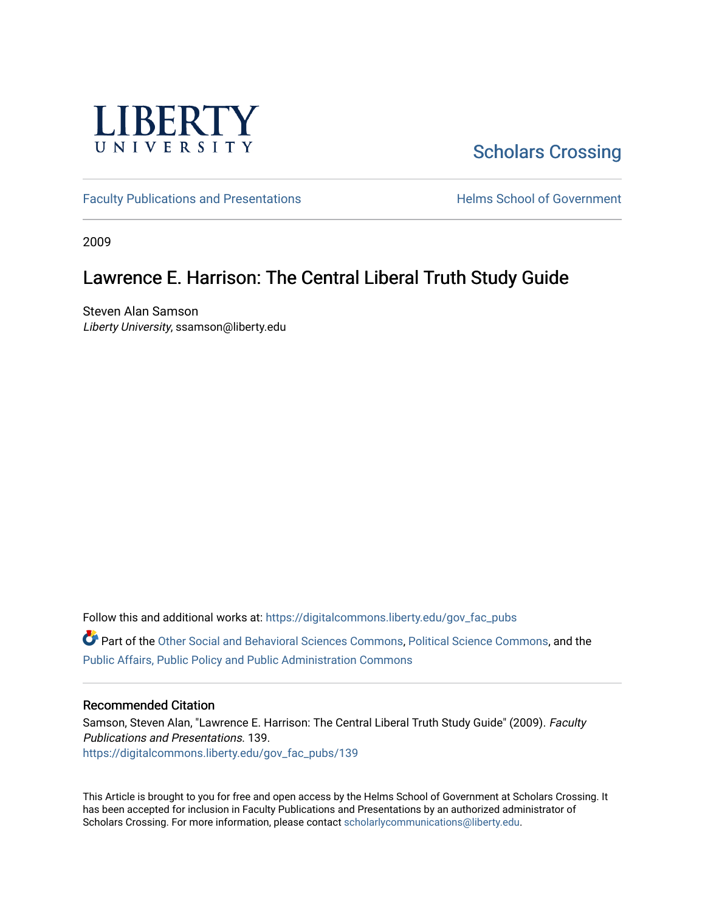

[Scholars Crossing](https://digitalcommons.liberty.edu/) 

[Faculty Publications and Presentations](https://digitalcommons.liberty.edu/gov_fac_pubs) **Exercise School of Government** 

2009

### Lawrence E. Harrison: The Central Liberal Truth Study Guide

Steven Alan Samson Liberty University, ssamson@liberty.edu

Follow this and additional works at: [https://digitalcommons.liberty.edu/gov\\_fac\\_pubs](https://digitalcommons.liberty.edu/gov_fac_pubs?utm_source=digitalcommons.liberty.edu%2Fgov_fac_pubs%2F139&utm_medium=PDF&utm_campaign=PDFCoverPages)

Part of the [Other Social and Behavioral Sciences Commons](http://network.bepress.com/hgg/discipline/437?utm_source=digitalcommons.liberty.edu%2Fgov_fac_pubs%2F139&utm_medium=PDF&utm_campaign=PDFCoverPages), [Political Science Commons](http://network.bepress.com/hgg/discipline/386?utm_source=digitalcommons.liberty.edu%2Fgov_fac_pubs%2F139&utm_medium=PDF&utm_campaign=PDFCoverPages), and the [Public Affairs, Public Policy and Public Administration Commons](http://network.bepress.com/hgg/discipline/393?utm_source=digitalcommons.liberty.edu%2Fgov_fac_pubs%2F139&utm_medium=PDF&utm_campaign=PDFCoverPages)

### Recommended Citation

Samson, Steven Alan, "Lawrence E. Harrison: The Central Liberal Truth Study Guide" (2009). Faculty Publications and Presentations. 139. [https://digitalcommons.liberty.edu/gov\\_fac\\_pubs/139](https://digitalcommons.liberty.edu/gov_fac_pubs/139?utm_source=digitalcommons.liberty.edu%2Fgov_fac_pubs%2F139&utm_medium=PDF&utm_campaign=PDFCoverPages)

This Article is brought to you for free and open access by the Helms School of Government at Scholars Crossing. It has been accepted for inclusion in Faculty Publications and Presentations by an authorized administrator of Scholars Crossing. For more information, please contact [scholarlycommunications@liberty.edu.](mailto:scholarlycommunications@liberty.edu)